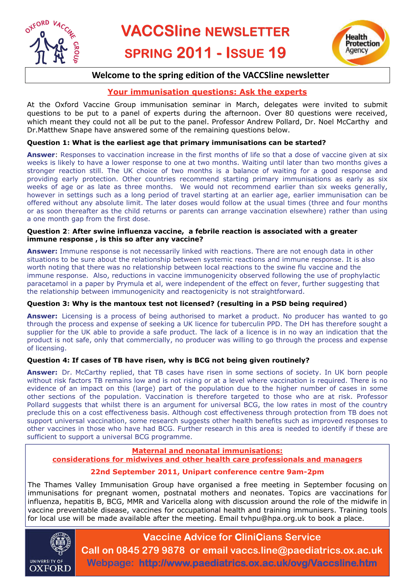



# **Welcome to the spring edition of the VACCSline newsletter**

# **Your immunisation questions: Ask the experts**

At the Oxford Vaccine Group immunisation seminar in March, delegates were invited to submit questions to be put to a panel of experts during the afternoon. Over 80 questions were received, which meant they could not all be put to the panel. Professor Andrew Pollard, Dr. Noel McCarthy and Dr.Matthew Snape have answered some of the remaining questions below.

## **Question 1: What is the earliest age that primary immunisations can be started?**

**Answer**: Responses to vaccination increase in the first months of life so that a dose of vaccine given at six weeks is likely to have a lower response to one at two months. Waiting until later than two months gives a stronger reaction still. The UK choice of two months is a balance of waiting for a good response and providing early protection. Other countries recommend starting primary immunisations as early as six weeks of age or as late as three months. We would not recommend earlier than six weeks generally, however in settings such as a long period of travel starting at an earlier age, earlier immunisation can be offered without any absolute limit. The later doses would follow at the usual times (three and four months or as soon thereafter as the child returns or parents can arrange vaccination elsewhere) rather than using a one month gap from the first dose.

### **Question 2**: **After swine influenza vaccine, a febrile reaction is associated with a greater immune response , is this so after any vaccine?**

**Answer:** Immune response is not necessarily linked with reactions. There are not enough data in other situations to be sure about the relationship between systemic reactions and immune response. It is also worth noting that there was no relationship between local reactions to the swine flu vaccine and the immune response. Also, reductions in vaccine immunogenicity observed following the use of prophylactic paracetamol in a paper by Prymula et al, were independent of the effect on fever, further suggesting that the relationship between immunogenicity and reactogenicity is not straightforward.

## **Question 3: Why is the mantoux test not licensed? (resulting in a PSD being required)**

Answer: Licensing is a process of being authorised to market a product. No producer has wanted to go through the process and expense of seeking a UK licence for tuberculin PPD. The DH has therefore sought a supplier for the UK able to provide a safe product. The lack of a licence is in no way an indication that the product is not safe, only that commercially, no producer was willing to go through the process and expense of licensing.

## **Question 4: If cases of TB have risen, why is BCG not being given routinely?**

**Answer:** Dr. McCarthy replied, that TB cases have risen in some sections of society. In UK born people without risk factors TB remains low and is not rising or at a level where vaccination is required. There is no evidence of an impact on this (large) part of the population due to the higher number of cases in some other sections of the population. Vaccination is therefore targeted to those who are at risk. Professor Pollard suggests that whilst there is an argument for universal BCG, the low rates in most of the country preclude this on a cost effectiveness basis. Although cost effectiveness through protection from TB does not support universal vaccination, some research suggests other health benefits such as improved responses to other vaccines in those who have had BCG. Further research in this area is needed to identify if these are sufficient to support a universal BCG programme.

#### **Maternal and neonatal immunisations: considerations for midwives and other health care professionals and managers**

# **22nd September 2011, Unipart conference centre 9am-2pm**

The Thames Valley Immunisation Group have organised a free meeting in September focusing on immunisations for pregnant women, postnatal mothers and neonates. Topics are vaccinations for influenza, hepatitis B, BCG, MMR and Varicella along with discussion around the role of the midwife in vaccine preventable disease, vaccines for occupational health and training immunisers. Training tools for local use will be made available after the meeting. Email tvhpu@hpa.org.uk to book a place.



# **Vaccine Advice for CliniCians Service**

**Call on 0845 279 9878 or email vaccs.line@paediatrics.ox.ac.uk Webpage: http://www.paediatrics.ox.ac.uk/ovg/Vaccsline.htm**